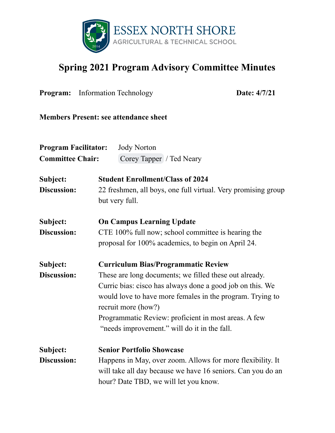

## **Spring 2021 Program Advisory Committee Minutes**

| <b>Program:</b> Information Technology |                                                                                                                                                                                                                                                                                                                 | Date: 4/7/21                                                                                                                                                       |  |  |
|----------------------------------------|-----------------------------------------------------------------------------------------------------------------------------------------------------------------------------------------------------------------------------------------------------------------------------------------------------------------|--------------------------------------------------------------------------------------------------------------------------------------------------------------------|--|--|
|                                        |                                                                                                                                                                                                                                                                                                                 | <b>Members Present: see attendance sheet</b>                                                                                                                       |  |  |
| <b>Program Facilitator:</b>            |                                                                                                                                                                                                                                                                                                                 | <b>Jody Norton</b>                                                                                                                                                 |  |  |
| <b>Committee Chair:</b>                |                                                                                                                                                                                                                                                                                                                 | Corey Tapper / Ted Neary                                                                                                                                           |  |  |
| Subject:                               |                                                                                                                                                                                                                                                                                                                 | <b>Student Enrollment/Class of 2024</b>                                                                                                                            |  |  |
| Discussion:                            |                                                                                                                                                                                                                                                                                                                 | 22 freshmen, all boys, one full virtual. Very promising group<br>but very full.                                                                                    |  |  |
| Subject:                               | <b>On Campus Learning Update</b>                                                                                                                                                                                                                                                                                |                                                                                                                                                                    |  |  |
| Discussion:                            | CTE 100% full now; school committee is hearing the<br>proposal for 100% academics, to begin on April 24.                                                                                                                                                                                                        |                                                                                                                                                                    |  |  |
| Subject:                               | <b>Curriculum Bias/Programmatic Review</b>                                                                                                                                                                                                                                                                      |                                                                                                                                                                    |  |  |
| Discussion:                            | These are long documents; we filled these out already.<br>Curric bias: cisco has always done a good job on this. We<br>would love to have more females in the program. Trying to<br>recruit more (how?)<br>Programmatic Review: proficient in most areas. A few<br>"needs improvement." will do it in the fall. |                                                                                                                                                                    |  |  |
| Subject:                               |                                                                                                                                                                                                                                                                                                                 | <b>Senior Portfolio Showcase</b>                                                                                                                                   |  |  |
| Discussion:                            |                                                                                                                                                                                                                                                                                                                 | Happens in May, over zoom. Allows for more flexibility. It<br>will take all day because we have 16 seniors. Can you do an<br>hour? Date TBD, we will let you know. |  |  |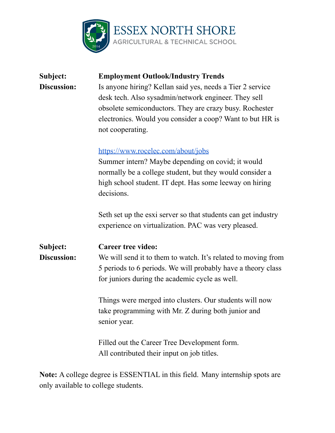

| Subject:<br><b>Discussion:</b> | <b>Employment Outlook/Industry Trends</b><br>Is anyone hiring? Kellan said yes, needs a Tier 2 service<br>desk tech. Also sysadmin/network engineer. They sell<br>obsolete semiconductors. They are crazy busy. Rochester<br>electronics. Would you consider a coop? Want to but HR is<br>not cooperating. |  |  |
|--------------------------------|------------------------------------------------------------------------------------------------------------------------------------------------------------------------------------------------------------------------------------------------------------------------------------------------------------|--|--|
|                                | https://www.rocelec.com/about/jobs<br>Summer intern? Maybe depending on covid; it would<br>normally be a college student, but they would consider a<br>high school student. IT dept. Has some leeway on hiring<br>decisions.                                                                               |  |  |
|                                | Seth set up the esxi server so that students can get industry<br>experience on virtualization. PAC was very pleased.                                                                                                                                                                                       |  |  |
| Subject:<br><b>Discussion:</b> | <b>Career tree video:</b><br>We will send it to them to watch. It's related to moving from<br>5 periods to 6 periods. We will probably have a theory class<br>for juniors during the academic cycle as well.                                                                                               |  |  |
|                                | Things were merged into clusters. Our students will now<br>take programming with Mr. Z during both junior and<br>senior year.                                                                                                                                                                              |  |  |
|                                | Filled out the Career Tree Development form.<br>All contributed their input on job titles.                                                                                                                                                                                                                 |  |  |

**Note:** A college degree is ESSENTIAL in this field. Many internship spots are only available to college students.